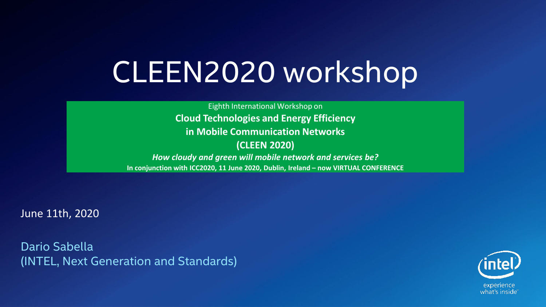## CLEEN2020 workshop

Eighth International Workshop on **Cloud Technologies and Energy Efficiency in Mobile Communication Networks (CLEEN 2020)** *How cloudy and green will mobile network and services be?* **In conjunction with ICC2020, 11 June 2020, Dublin, Ireland – now VIRTUAL CONFERENCE**

June 11th, 2020

Dario Sabella (INTEL, Next Generation and Standards)

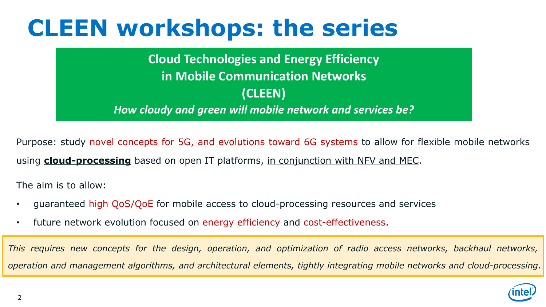### **CLEEN workshops: the series**

**Cloud Technologies and Energy Efficiency in Mobile Communication Networks (CLEEN)** *How cloudy and green will mobile network and services be?*

Purpose: study novel concepts for 5G, and evolutions toward 6G systems to allow for flexible mobile networks using **cloud-processing** based on open IT platforms, in conjunction with NFV and MEC.

The aim is to allow:

- guaranteed high QoS/QoE for mobile access to cloud-processing resources and services
- future network evolution focused on energy efficiency and cost-effectiveness.

This requires new concepts for the design, operation, and optimization of radio access networks, backhaul networks, *operation and management algorithms, and architectural elements, tightly integrating mobile networks and cloud-processing*.

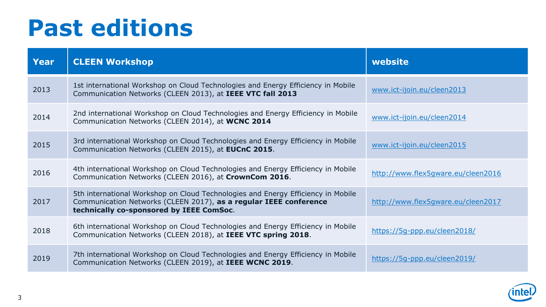### **Past editions**

| Year | <b>CLEEN Workshop</b>                                                                                                                                                                             | website                            |
|------|---------------------------------------------------------------------------------------------------------------------------------------------------------------------------------------------------|------------------------------------|
| 2013 | 1st international Workshop on Cloud Technologies and Energy Efficiency in Mobile<br>Communication Networks (CLEEN 2013), at IEEE VTC fall 2013                                                    | www.ict-ijoin.eu/cleen2013         |
| 2014 | 2nd international Workshop on Cloud Technologies and Energy Efficiency in Mobile<br>Communication Networks (CLEEN 2014), at WCNC 2014                                                             | www.ict-ijoin.eu/cleen2014         |
| 2015 | 3rd international Workshop on Cloud Technologies and Energy Efficiency in Mobile<br>Communication Networks (CLEEN 2015), at EUCnC 2015.                                                           | www.ict-ijoin.eu/cleen2015         |
| 2016 | 4th international Workshop on Cloud Technologies and Energy Efficiency in Mobile<br>Communication Networks (CLEEN 2016), at CrownCom 2016.                                                        | http://www.flex5gware.eu/cleen2016 |
| 2017 | 5th international Workshop on Cloud Technologies and Energy Efficiency in Mobile<br>Communication Networks (CLEEN 2017), as a regular IEEE conference<br>technically co-sponsored by IEEE ComSoc. | http://www.flex5gware.eu/cleen2017 |
| 2018 | 6th international Workshop on Cloud Technologies and Energy Efficiency in Mobile<br>Communication Networks (CLEEN 2018), at IEEE VTC spring 2018.                                                 | https://5q-ppp.eu/cleen2018/       |
| 2019 | 7th international Workshop on Cloud Technologies and Energy Efficiency in Mobile<br>Communication Networks (CLEEN 2019), at IEEE WCNC 2019.                                                       | https://5q-ppp.eu/cleen2019/       |

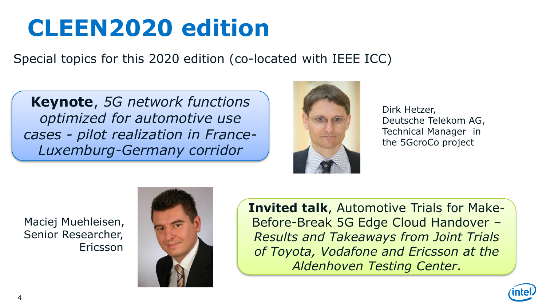## **CLEEN2020 edition**

Special topics for this 2020 edition (co-located with IEEE ICC)

**Keynote**, *5G network functions optimized for automotive use cases - pilot realization in France-Luxemburg-Germany corridor*



Dirk Hetzer, Deutsche Telekom AG, Technical Manager in the 5GcroCo project

Maciej Muehleisen, Senior Researcher, Ericsson



**Invited talk**, Automotive Trials for Make-Before-Break 5G Edge Cloud Handover – *Results and Takeaways from Joint Trials of Toyota, Vodafone and Ericsson at the Aldenhoven Testing Center*.

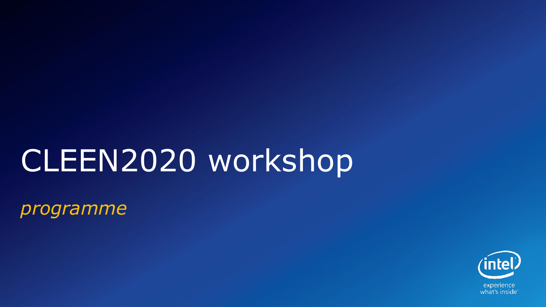# CLEEN2020 workshop

*programme*

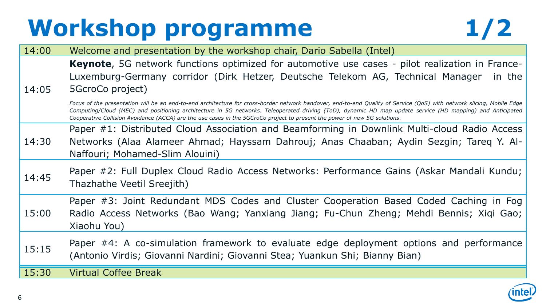## **Workshop programme 1/2**



14:00 Welcome and presentation by the workshop chair, Dario Sabella (Intel) 14:05 **Keynote**, 5G network functions optimized for automotive use cases - pilot realization in France-Luxemburg-Germany corridor (Dirk Hetzer, Deutsche Telekom AG, Technical Manager in the 5GcroCo project) Focus of the presentation will be an end-to-end architecture for cross-border network handover, end-to-end Quality of Service (QoS) with network slicing, Mobile Edge Computing/Cloud (MEC) and positioning architecture in 5G networks. Teleoperated driving (ToD), dynamic HD map update service (HD mapping) and Anticipated Cooperative Collision Avoidance (ACCA) are the use cases in the 5GCroCo project to present the power of new 5G solutions. 14:30 Paper #1: Distributed Cloud Association and Beamforming in Downlink Multi-cloud Radio Access Networks (Alaa Alameer Ahmad; Hayssam Dahrouj; Anas Chaaban; Aydin Sezgin; Tareq Y. Al-Naffouri; Mohamed-Slim Alouini) 14:45 Paper #2: Full Duplex Cloud Radio Access Networks: Performance Gains (Askar Mandali Kundu; Thazhathe Veetil Sreejith) 15:00 Paper #3: Joint Redundant MDS Codes and Cluster Cooperation Based Coded Caching in Fog Radio Access Networks (Bao Wang; Yanxiang Jiang; Fu-Chun Zheng; Mehdi Bennis; Xiqi Gao; Xiaohu You) 15:15 Paper #4: A co-simulation framework to evaluate edge deployment options and performance (Antonio Virdis; Giovanni Nardini; Giovanni Stea; Yuankun Shi; Bianny Bian) 15:30 Virtual Coffee Break

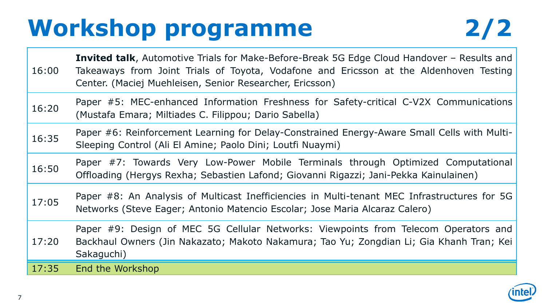## **Workshop programme 2/2**



| 16:00 | <b>Invited talk, Automotive Trials for Make-Before-Break 5G Edge Cloud Handover - Results and</b><br>Takeaways from Joint Trials of Toyota, Vodafone and Ericsson at the Aldenhoven Testing<br>Center. (Maciej Muehleisen, Senior Researcher, Ericsson) |  |
|-------|---------------------------------------------------------------------------------------------------------------------------------------------------------------------------------------------------------------------------------------------------------|--|
| 16:20 | Paper #5: MEC-enhanced Information Freshness for Safety-critical C-V2X Communications<br>(Mustafa Emara; Miltiades C. Filippou; Dario Sabella)                                                                                                          |  |
| 16:35 | Paper #6: Reinforcement Learning for Delay-Constrained Energy-Aware Small Cells with Multi-<br>Sleeping Control (Ali El Amine; Paolo Dini; Loutfi Nuaymi)                                                                                               |  |
| 16:50 | Paper #7: Towards Very Low-Power Mobile Terminals through Optimized Computational<br>Offloading (Hergys Rexha; Sebastien Lafond; Giovanni Rigazzi; Jani-Pekka Kainulainen)                                                                              |  |
| 17:05 | Paper #8: An Analysis of Multicast Inefficiencies in Multi-tenant MEC Infrastructures for 5G<br>Networks (Steve Eager; Antonio Matencio Escolar; Jose Maria Alcaraz Calero)                                                                             |  |
| 17:20 | Paper #9: Design of MEC 5G Cellular Networks: Viewpoints from Telecom Operators and<br>Backhaul Owners (Jin Nakazato; Makoto Nakamura; Tao Yu; Zongdian Li; Gia Khanh Tran; Kei<br>Sakaguchi)                                                           |  |
| 17:35 | End the Workshop                                                                                                                                                                                                                                        |  |